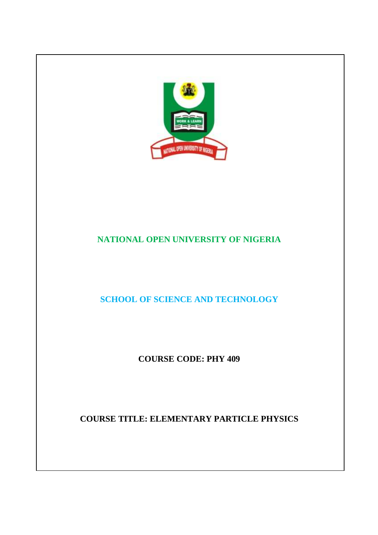

# **NATIONAL OPEN UNIVERSITY OF NIGERIA**

**SCHOOL OF SCIENCE AND TECHNOLOGY** 

**COURSE CODE: PHY 409** 

**COURSE TITLE: ELEMENTARY PARTICLE PHYSICS**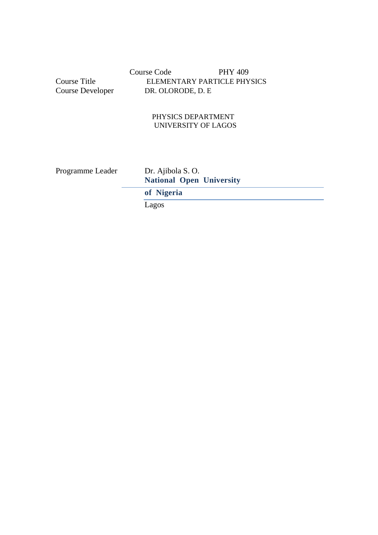Course Code PHY 409 Course Title ELEMENTARY PARTICLE PHYSICS<br>Course Developer DR. OLORODE, D. E DR. OLORODE, D. E

### PHYSICS DEPARTMENT UNIVERSITY OF LAGOS

Programme Leader Dr. Ajibola S. O. **National Open University** 

**of Nigeria** 

Lagos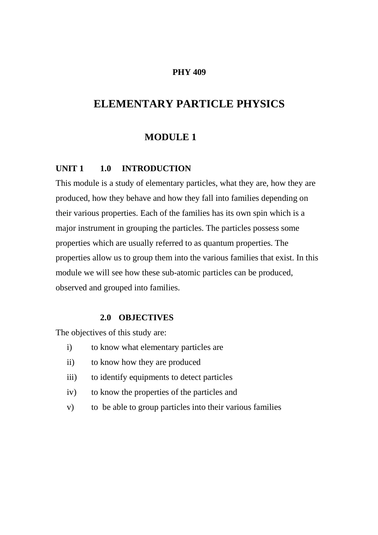#### **PHY 409**

# **ELEMENTARY PARTICLE PHYSICS**

# **MODULE 1**

#### **UNIT 1 1.0 INTRODUCTION**

This module is a study of elementary particles, what they are, how they are produced, how they behave and how they fall into families depending on their various properties. Each of the families has its own spin which is a major instrument in grouping the particles. The particles possess some properties which are usually referred to as quantum properties. The properties allow us to group them into the various families that exist. In this module we will see how these sub-atomic particles can be produced, observed and grouped into families.

#### **2.0 OBJECTIVES**

The objectives of this study are:

- i) to know what elementary particles are
- ii) to know how they are produced
- iii) to identify equipments to detect particles
- iv) to know the properties of the particles and
- v) to be able to group particles into their various families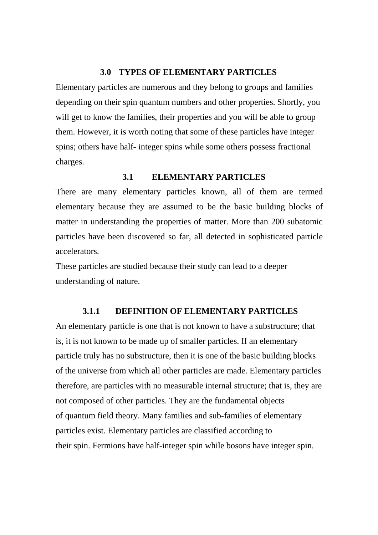#### **3.0 TYPES OF ELEMENTARY PARTICLES**

Elementary particles are numerous and they belong to groups and families depending on their spin quantum numbers and other properties. Shortly, you will get to know the families, their properties and you will be able to group them. However, it is worth noting that some of these particles have integer spins; others have half- integer spins while some others possess fractional charges.

### **3.1 ELEMENTARY PARTICLES**

There are many elementary particles known, all of them are termed elementary because they are assumed to be the basic building blocks of matter in understanding the properties of matter. More than 200 subatomic particles have been discovered so far, all detected in sophisticated particle accelerators.

These particles are studied because their study can lead to a deeper understanding of nature.

#### **3.1.1 DEFINITION OF ELEMENTARY PARTICLES**

An elementary particle is one that is not known to have a substructure; that is, it is not known to be made up of smaller particles. If an elementary particle truly has no substructure, then it is one of the basic building blocks of the universe from which all other particles are made. Elementary particles therefore, are particles with no measurable internal structure; that is, they are not composed of other particles. They are the fundamental objects of quantum field theory. Many families and sub-families of elementary particles exist. Elementary particles are classified according to their spin. Fermions have half-integer spin while bosons have integer spin.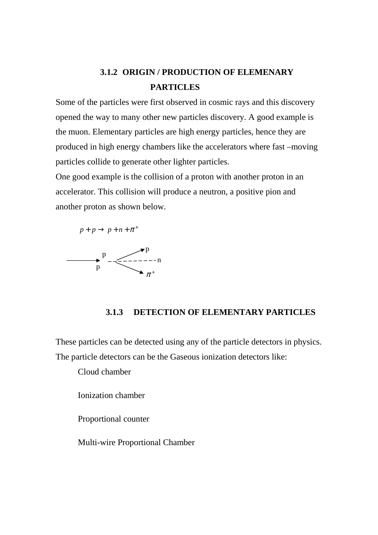# **3.1.2 ORIGIN / PRODUCTION OF ELEMENARY PARTICLES**

Some of the particles were first observed in cosmic rays and this discovery opened the way to many other new particles discovery. A good example is the muon. Elementary particles are high energy particles, hence they are produced in high energy chambers like the accelerators where fast –moving particles collide to generate other lighter particles.

One good example is the collision of a proton with another proton in an accelerator. This collision will produce a neutron, a positive pion and another proton as shown below.





# **3.1.3 DETECTION OF ELEMENTARY PARTICLES**

These particles can be detected using any of the particle detectors in physics. The particle detectors can be the Gaseous ionization detectors like:

Cloud chamber

Ionization chamber

Proportional counter

Multi-wire Proportional Chamber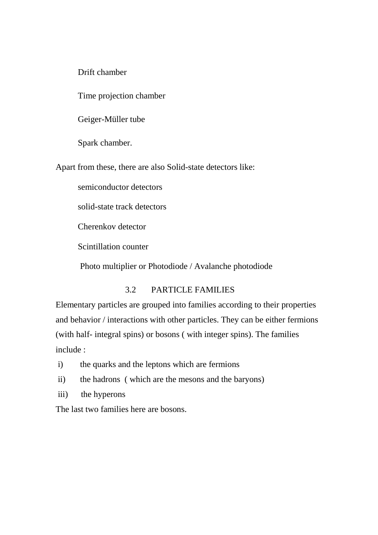Drift chamber

Time projection chamber

Geiger-Müller tube

Spark chamber.

Apart from these, there are also Solid-state detectors like:

semiconductor detectors

solid-state track detectors

Cherenkov detector

Scintillation counter

Photo multiplier or Photodiode / Avalanche photodiode

# 3.2 PARTICLE FAMILIES

Elementary particles are grouped into families according to their properties and behavior / interactions with other particles. They can be either fermions (with half- integral spins) or bosons ( with integer spins). The families include :

- i) the quarks and the leptons which are fermions
- ii) the hadrons ( which are the mesons and the baryons)
- iii) the hyperons

The last two families here are bosons.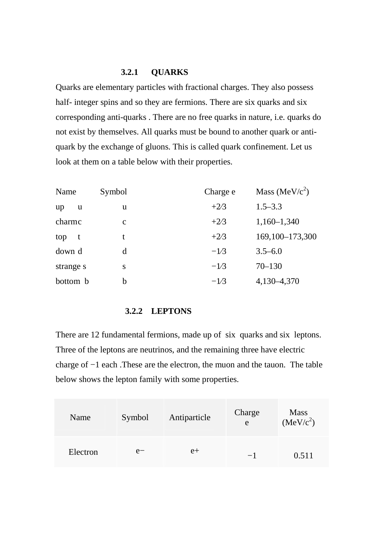## **3.2.1 QUARKS**

Quarks are elementary particles with fractional charges. They also possess half- integer spins and so they are fermions. There are six quarks and six corresponding anti-quarks . There are no free quarks in nature, i.e. quarks do not exist by themselves. All quarks must be bound to another quark or antiquark by the exchange of gluons. This is called quark confinement. Let us look at them on a table below with their properties.

| Name      | Symbol      | Charge e | Mass (MeV/ $c^2$ ) |
|-----------|-------------|----------|--------------------|
| up<br>u   | u           | $+2/3$   | $1.5 - 3.3$        |
| charme    | $\mathbf c$ | $+2/3$   | $1,160-1,340$      |
| top<br>t  |             | $+2/3$   | 169,100-173,300    |
| down d    | d           | $-1/3$   | $3.5 - 6.0$        |
| strange s | S           | $-1/3$   | $70 - 130$         |
| bottom b  | b           | $-1/3$   | 4,130-4,370        |

### **3.2.2 LEPTONS**

There are 12 fundamental fermions, made up of six quarks and six leptons. Three of the leptons are neutrinos, and the remaining three have electric charge of −1 each .These are the electron, the muon and the tauon. The table below shows the lepton family with some properties.

| Name     | Symbol | Antiparticle | Charge<br>e | <b>Mass</b><br>(MeV/c <sup>2</sup> ) |
|----------|--------|--------------|-------------|--------------------------------------|
| Electron | $e-$   | $e+$         | $-1$        | 0.511                                |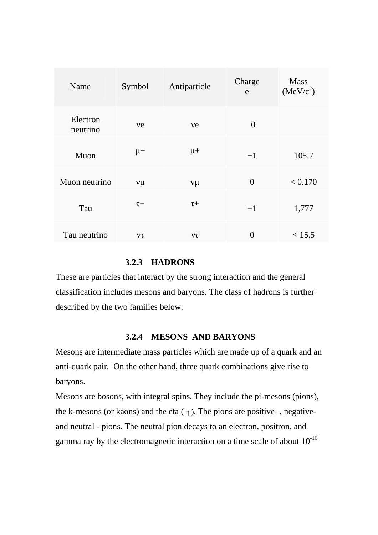| Name                 | Symbol    | Antiparticle | Charge<br>e    | <b>Mass</b><br>(MeV/c <sup>2</sup> ) |
|----------------------|-----------|--------------|----------------|--------------------------------------|
| Electron<br>neutrino | ve        | ve           | $\overline{0}$ |                                      |
| Muon                 | $\mu-$    | $\mu +$      | $-1$           | 105.7                                |
| Muon neutrino        | $v\mu$    | $v\mu$       | $\overline{0}$ | < 0.170                              |
| Tau                  | $\tau-$   | $\tau +$     | $-1$           | 1,777                                |
| Tau neutrino         | $\nu\tau$ | $\nu\tau$    | $\theta$       | < 15.5                               |

## **3.2.3 HADRONS**

These are particles that interact by the strong interaction and the general classification includes mesons and baryons. The class of hadrons is further described by the two families below.

#### **3.2.4 MESONS AND BARYONS**

Mesons are intermediate mass particles which are made up of a quark and an anti-quark pair. On the other hand, three quark combinations give rise to baryons.

Mesons are bosons, with integral spins. They include the pi-mesons (pions), the k-mesons (or kaons) and the eta  $(\eta)$ . The pions are positive-, negativeand neutral - pions. The neutral pion decays to an electron, positron, and gamma ray by the electromagnetic interaction on a time scale of about 10-16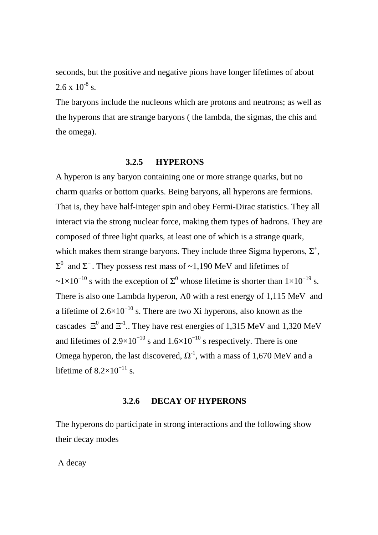seconds, but the positive and negative pions have longer lifetimes of about  $2.6 \times 10^{-8}$  s.

The baryons include the nucleons which are protons and neutrons; as well as the hyperons that are strange baryons ( the lambda, the sigmas, the chis and the omega).

## **3.2.5 HYPERONS**

A hyperon is any baryon containing one or more strange quarks, but no charm quarks or bottom quarks. Being baryons, all hyperons are fermions. That is, they have half-integer spin and obey Fermi-Dirac statistics. They all interact via the strong nuclear force, making them types of hadrons. They are composed of three light quarks, at least one of which is a strange quark, which makes them strange baryons. They include three Sigma hyperons,  $\Sigma^+$ ,  $\Sigma$ <sup>0</sup> and  $\Sigma$ <sup>-</sup>. They possess rest mass of ~1,190 MeV and lifetimes of ~1×10<sup>-10</sup> s with the exception of  $\Sigma^0$  whose lifetime is shorter than  $1\times10^{-19}$  s. There is also one Lambda hyperon, Λ0 with a rest energy of 1,115 MeV and a lifetime of  $2.6\times10^{-10}$  s. There are two Xi hyperons, also known as the cascades  $\Xi^0$  and  $\Xi^{-1}$ .. They have rest energies of 1,315 MeV and 1,320 MeV and lifetimes of  $2.9\times10^{-10}$  s and  $1.6\times10^{-10}$  s respectively. There is one Omega hyperon, the last discovered,  $\Omega^{-1}$ , with a mass of 1,670 MeV and a lifetime of  $8.2 \times 10^{-11}$  s.

### **3.2.6 DECAY OF HYPERONS**

The hyperons do participate in strong interactions and the following show their decay modes

Λ decay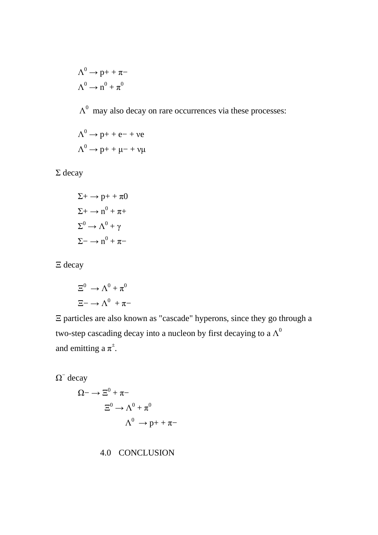$$
\Lambda^0 \to p+ + \pi-
$$

$$
\Lambda^0 \to n^0 + \pi^0
$$

 $\Lambda^0$  may also decay on rare occurrences via these processes:

$$
\Lambda^{0} \to p+ + e- + ve
$$
  

$$
\Lambda^{0} \to p+ + \mu- + v\mu
$$

Σ decay

$$
\Sigma + \rightarrow p + + \pi 0
$$

$$
\Sigma + \rightarrow n^0 + \pi +
$$

$$
\Sigma^0 \rightarrow \Lambda^0 + \gamma
$$

$$
\Sigma - \rightarrow n^0 + \pi -
$$

Ξ decay

$$
\Xi^0 \to \Lambda^0 + \pi^0
$$

$$
\Xi^- \to \Lambda^0 + \pi^-
$$

Ξ particles are also known as "cascade" hyperons, since they go through a two-step cascading decay into a nucleon by first decaying to a  $\Lambda^0$ and emitting a  $\pi^{\pm}$ .

 $\Omega^-$  decay

$$
\Omega \to \Xi^0 + \pi -
$$
  
\n
$$
\Xi^0 \to \Lambda^0 + \pi^0
$$
  
\n
$$
\Lambda^0 \to p + + \pi -
$$

# 4.0 CONCLUSION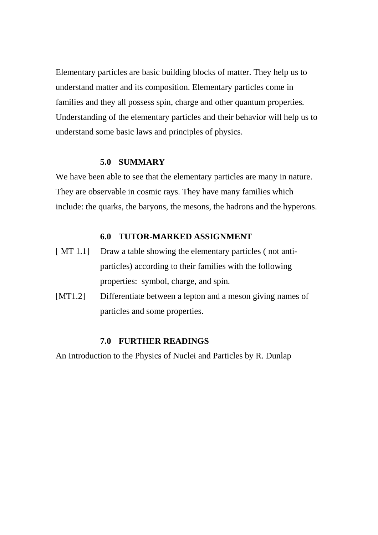Elementary particles are basic building blocks of matter. They help us to understand matter and its composition. Elementary particles come in families and they all possess spin, charge and other quantum properties. Understanding of the elementary particles and their behavior will help us to understand some basic laws and principles of physics.

#### **5.0 SUMMARY**

We have been able to see that the elementary particles are many in nature. They are observable in cosmic rays. They have many families which include: the quarks, the baryons, the mesons, the hadrons and the hyperons.

### **6.0 TUTOR-MARKED ASSIGNMENT**

- [MT 1.1] Draw a table showing the elementary particles (not antiparticles) according to their families with the following properties: symbol, charge, and spin.
- [MT1.2] Differentiate between a lepton and a meson giving names of particles and some properties.

## **7.0 FURTHER READINGS**

An Introduction to the Physics of Nuclei and Particles by R. Dunlap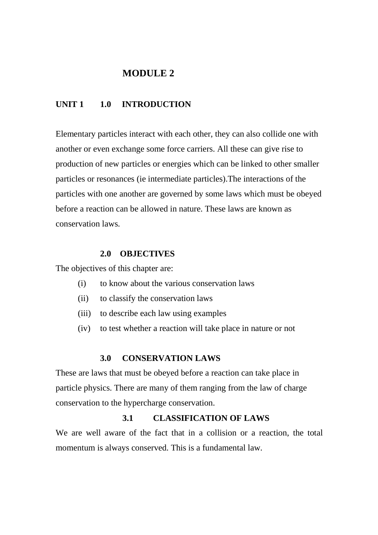# **MODULE 2**

# **UNIT 1 1.0 INTRODUCTION**

Elementary particles interact with each other, they can also collide one with another or even exchange some force carriers. All these can give rise to production of new particles or energies which can be linked to other smaller particles or resonances (ie intermediate particles).The interactions of the particles with one another are governed by some laws which must be obeyed before a reaction can be allowed in nature. These laws are known as conservation laws.

## **2.0 OBJECTIVES**

The objectives of this chapter are:

- (i) to know about the various conservation laws
- (ii) to classify the conservation laws
- (iii) to describe each law using examples
- (iv) to test whether a reaction will take place in nature or not

## **3.0 CONSERVATION LAWS**

These are laws that must be obeyed before a reaction can take place in particle physics. There are many of them ranging from the law of charge conservation to the hypercharge conservation.

### **3.1 CLASSIFICATION OF LAWS**

We are well aware of the fact that in a collision or a reaction, the total momentum is always conserved. This is a fundamental law.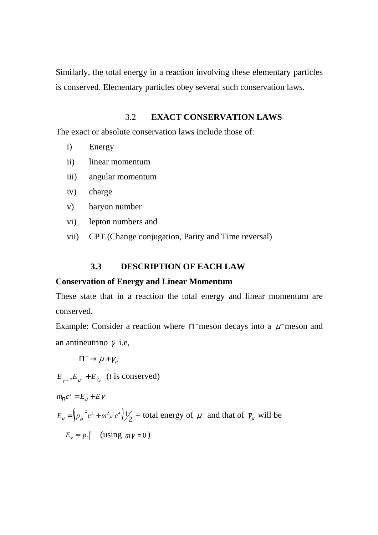Similarly, the total energy in a reaction involving these elementary particles is conserved. Elementary particles obey several such conservation laws.

## 3.2 **EXACT CONSERVATION LAWS**

The exact or absolute conservation laws include those of:

- i) Energy
- ii) linear momentum
- iii) angular momentum
- iv) charge
- v) baryon number
- vi) lepton numbers and
- vii) CPT (Change conjugation, Parity and Time reversal)

## **3.3 DESCRIPTION OF EACH LAW**

## **Conservation of Energy and Linear Momentum**

These state that in a reaction the total energy and linear momentum are conserved.

Example: Consider a reaction where  $\Pi$  meson decays into a  $\mu$ <sup>-</sup> meson and an antineutrino  $\bar{\gamma}$  i.e,

$$
\Pi^- \to \overline{\mu} + \overline{\gamma}_{\mu}
$$

 $E_{\Pi^{-}}E_{\mu^{-}}+E_{\bar{\gamma}_{\mu}}$  (*t* is conserved)

 $m_{\overline{\Pi}} c^2 = E_\mu + E \gamma$  $E_{\mu} = (p_{\mu}|^2 c^2 + m^2 \mu c^4)/2$  = total energy of  $\mu^-$  and that of  $\bar{\gamma}_{\mu}$  will be  $E_{\gamma} = |p_2|^c$  (using  $m\overline{\gamma} = 0$ )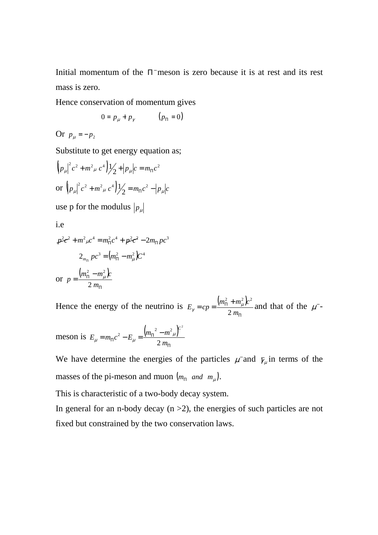Initial momentum of the  $\Pi$  meson is zero because it is at rest and its rest mass is zero.

Hence conservation of momentum gives

$$
0 = p_{\mu} + p_{\gamma} \qquad (p_{\Pi} = 0)
$$

Or  $p_{\mu} = -p_2$ 

Substitute to get energy equation as;

$$
\left( p_{\mu} \right)^{2} c^{2} + m^{2}{}_{\mu} c^{4} \left) \frac{1}{2} + \left| p_{\mu} \right| c = m_{\Pi} c^{2}
$$
  
or 
$$
\left( p_{\mu} \right)^{2} c^{2} + m^{2}{}_{\mu} c^{4} \left) \frac{1}{2} = m_{\Pi} c^{2} - \left| p_{\mu} \right| c^{2}
$$

use p for the modulus  $|p_{\mu}|$ 

i.e

$$
p^{2}c^{2} + m^{2}{}_{\mu}c^{4} = m_{\Pi}^{2}c^{4} + p^{2}c^{2} - 2m_{\Pi}pc^{3}
$$

$$
2_{m_{\Pi}}pc^{3} = (m_{\Pi}^{2} - m_{\mu}^{2})c^{4}
$$
or 
$$
p = \frac{(m_{\Pi}^{2} - m_{\mu}^{2})c}{2m_{\Pi}}
$$

Hence the energy of the neutrino is  $E_{\gamma} = cp = \frac{(m_{\text{H}}^2 + m_{\mu}^2)\epsilon}{2}$ Π  $= cp = \frac{(m_{\Pi}^2 + )}{2}$ *m*  $m_{\Pi}^2 + m_{\mu}^2 c$  $E_\nu = cp$ 2 2  $\frac{2}{2}$   $\frac{2}{2}$  $\mu_{\gamma} = cp = \frac{(m_{\Pi} + m_{\mu})^2}{2m}$  and that of the  $\mu^{-1}$ 

meson is 
$$
E_{\mu} = m_{\Pi} c^2 - E_{\mu} = \frac{\left(m_{\Pi}^2 - m^2_{\mu}\right)^2}{2 m_{\Pi}}
$$

We have determine the energies of the particles  $\mu$  and  $\bar{\gamma}_{\mu}$  in terms of the masses of the pi-meson and muon  $(m_{\text{H}} \text{ and } m_{\mu}).$ 

This is characteristic of a two-body decay system.

In general for an n-body decay  $(n > 2)$ , the energies of such particles are not fixed but constrained by the two conservation laws.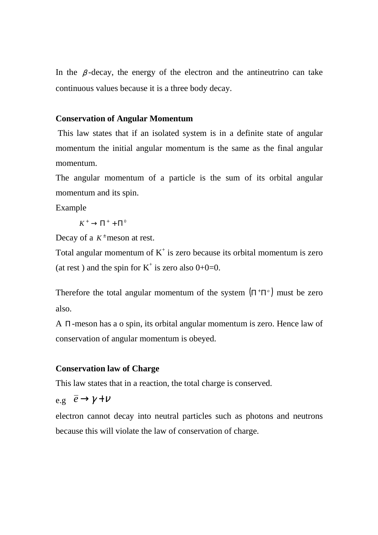In the  $\beta$ -decay, the energy of the electron and the antineutrino can take continuous values because it is a three body decay.

## **Conservation of Angular Momentum**

 This law states that if an isolated system is in a definite state of angular momentum the initial angular momentum is the same as the final angular momentum.

The angular momentum of a particle is the sum of its orbital angular momentum and its spin.

Example

 $K^+ \to \Pi^+ + \Pi^0$ 

Decay of a  $K^{\pm}$  meson at rest.

Total angular momentum of  $K^+$  is zero because its orbital momentum is zero (at rest) and the spin for  $K^+$  is zero also  $0+0=0$ .

Therefore the total angular momentum of the system  $(\Pi^+\Pi^o)$  must be zero also.

A Π -meson has a o spin, its orbital angular momentum is zero. Hence law of conservation of angular momentum is obeyed.

## **Conservation law of Charge**

This law states that in a reaction, the total charge is conserved.

e.g 
$$
\overline{e} \rightarrow \gamma + \nu
$$

electron cannot decay into neutral particles such as photons and neutrons because this will violate the law of conservation of charge.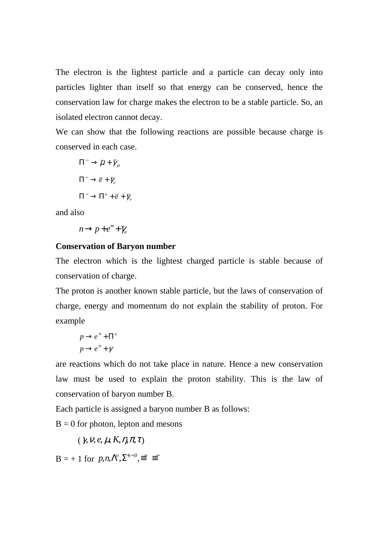The electron is the lightest particle and a particle can decay only into particles lighter than itself so that energy can be conserved, hence the conservation law for charge makes the electron to be a stable particle. So, an isolated electron cannot decay.

We can show that the following reactions are possible because charge is conserved in each case.

$$
\Pi^{-} \to \overline{\mu} + \overline{\gamma}_{\mu}
$$

$$
\Pi^{-} \to \overline{e} + \overline{\gamma}_{e}
$$

$$
\Pi^{-} \to \Pi^{\circ} + \overline{e} + \overline{\gamma}_{e}
$$

and also

$$
n\!\rightarrow\!p\!+\!e^{\widetilde{\hskip-1.2pt}\hskip.4pt+\hskip-1.2pt\bar{\gamma}}\hskip-1.5pt_{e}
$$

## **Conservation of Baryon number**

The electron which is the lightest charged particle is stable because of conservation of charge.

The proton is another known stable particle, but the laws of conservation of charge, energy and momentum do not explain the stability of proton. For example

$$
p \rightarrow e^{+} + \Pi^{\circ}
$$

$$
p \rightarrow e^{+} + \gamma
$$

are reactions which do not take place in nature. Hence a new conservation law must be used to explain the proton stability. This is the law of conservation of baryon number B.

Each particle is assigned a baryon number B as follows:

 $B = 0$  for photon, lepton and mesons

 $(\gamma, \nu, e, \mu, K, \eta, \pi, \tau)$ 

 $B = +1$  for  $p,n,\Lambda^{\circ},\Sigma^{+,-,0},\equiv^{\circ} \equiv^-$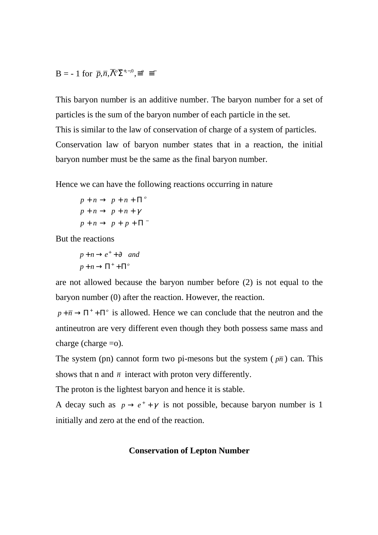$$
\mathbf{B} = -1 \text{ for } \overline{p}, \overline{n}, \overline{\Lambda}^o \overline{\Sigma}^{+,-,0}, \equiv^o \equiv^-
$$

This baryon number is an additive number. The baryon number for a set of particles is the sum of the baryon number of each particle in the set. This is similar to the law of conservation of charge of a system of particles. Conservation law of baryon number states that in a reaction, the initial baryon number must be the same as the final baryon number.

Hence we can have the following reactions occurring in nature

$$
p + n \rightarrow p + n + \Pi^{\circ}
$$
  

$$
p + n \rightarrow p + n + \gamma
$$
  

$$
p + n \rightarrow p + p + \Pi^-
$$

But the reactions

 $p+n \rightarrow \Pi^+ + \Pi^o$  $p + n \rightarrow e^+ + \partial$  and

are not allowed because the baryon number before (2) is not equal to the baryon number (0) after the reaction. However, the reaction.

 $p + \overline{n} \rightarrow \Pi^+ + \Pi^o$  is allowed. Hence we can conclude that the neutron and the antineutron are very different even though they both possess same mass and charge (charge =o).

The system (pn) cannot form two pi-mesons but the system ( $p\bar{n}$ ) can. This shows that n and  $\bar{n}$  interact with proton very differently.

The proton is the lightest baryon and hence it is stable.

A decay such as  $p \rightarrow e^+ + \gamma$  is not possible, because baryon number is 1 initially and zero at the end of the reaction.

#### **Conservation of Lepton Number**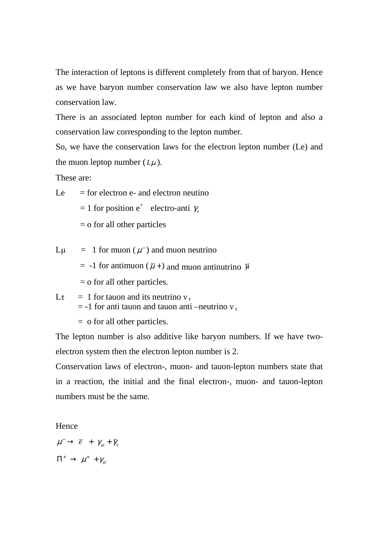The interaction of leptons is different completely from that of baryon. Hence as we have baryon number conservation law we also have lepton number conservation law.

There is an associated lepton number for each kind of lepton and also a conservation law corresponding to the lepton number.

So, we have the conservation laws for the electron lepton number (Le) and the muon leptop number  $(L\mu)$ .

These are:

 $Le$  = for electron e- and electron neutino  $= 1$  for position e<sup>+</sup> electro-anti  $\bar{\gamma}_e$ = o for all other particles

L $\mu$  = 1 for muon ( $\mu$ <sup>-</sup>) and muon neutrino

 $= -1$  for antimuon  $(\bar{\mu} + )$  and muon antinutrino  $\bar{\gamma}$ 

- $=$  o for all other particles.
- Lτ = 1 for tauon and its neutrino  $v_{\tau}$  $=$  -1 for anti-tauon and tauon anti-neutrino  $v_{\tau}$

= o for all other particles.

The lepton number is also additive like baryon numbers. If we have twoelectron system then the electron lepton number is 2.

Conservation laws of electron-, muon- and tauon-lepton numbers state that in a reaction, the initial and the final electron-, muon- and tauon-lepton numbers must be the same.

Hence

 $\mu^- \rightarrow \bar{e}$  +  $\gamma_\mu + \bar{\gamma}_e$  $\Pi^+ \,\rightarrow\, \mu^+ \,+ \gamma_{\mu}^{}$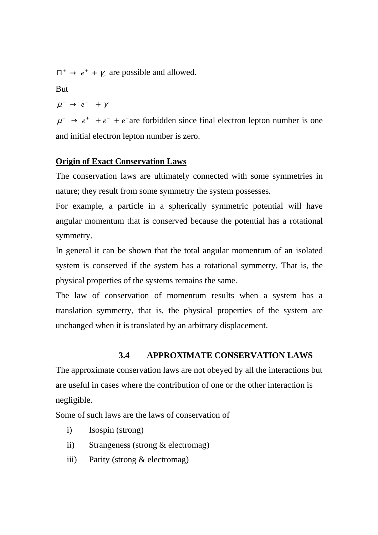$\Pi^+ \rightarrow e^+ + \gamma_e$  are possible and allowed.

**But** 

$$
\mu^-\,\rightarrow\,e^-\ \, +\,\,\gamma
$$

 $\mu^ \rightarrow e^+$  +  $e^-$  +  $e^-$  are forbidden since final electron lepton number is one and initial electron lepton number is zero.

## **Origin of Exact Conservation Laws**

The conservation laws are ultimately connected with some symmetries in nature; they result from some symmetry the system possesses.

For example, a particle in a spherically symmetric potential will have angular momentum that is conserved because the potential has a rotational symmetry.

In general it can be shown that the total angular momentum of an isolated system is conserved if the system has a rotational symmetry. That is, the physical properties of the systems remains the same.

The law of conservation of momentum results when a system has a translation symmetry, that is, the physical properties of the system are unchanged when it is translated by an arbitrary displacement.

## **3.4 APPROXIMATE CONSERVATION LAWS**

The approximate conservation laws are not obeyed by all the interactions but are useful in cases where the contribution of one or the other interaction is negligible.

Some of such laws are the laws of conservation of

- i) Isospin (strong)
- ii) Strangeness (strong & electromag)
- iii) Parity (strong & electromag)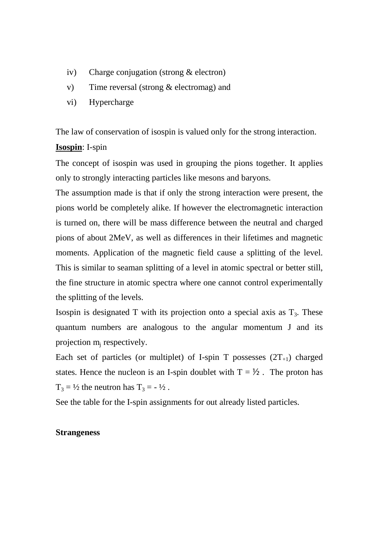- iv) Charge conjugation (strong & electron)
- v) Time reversal (strong & electromag) and
- vi) Hypercharge

The law of conservation of isospin is valued only for the strong interaction.

## **Isospin**: I-spin

The concept of isospin was used in grouping the pions together. It applies only to strongly interacting particles like mesons and baryons.

The assumption made is that if only the strong interaction were present, the pions world be completely alike. If however the electromagnetic interaction is turned on, there will be mass difference between the neutral and charged pions of about 2MeV, as well as differences in their lifetimes and magnetic moments. Application of the magnetic field cause a splitting of the level. This is similar to seaman splitting of a level in atomic spectral or better still, the fine structure in atomic spectra where one cannot control experimentally the splitting of the levels.

Isospin is designated T with its projection onto a special axis as  $T_3$ . These quantum numbers are analogous to the angular momentum J and its projection m<sub>j</sub> respectively.

Each set of particles (or multiplet) of I-spin T possesses  $(2T_{+1})$  charged states. Hence the nucleon is an I-spin doublet with  $T = \frac{1}{2}$ . The proton has  $T_3 = \frac{1}{2}$  the neutron has  $T_3 = -\frac{1}{2}$ .

See the table for the I-spin assignments for out already listed particles.

### **Strangeness**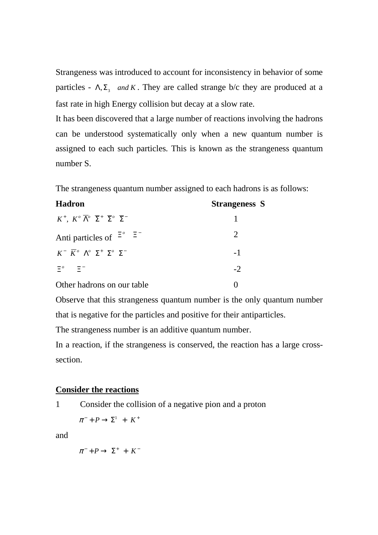Strangeness was introduced to account for inconsistency in behavior of some particles -  $\Lambda$ ,  $\Sigma$ <sub>3</sub> and K. They are called strange b/c they are produced at a fast rate in high Energy collision but decay at a slow rate.

It has been discovered that a large number of reactions involving the hadrons can be understood systematically only when a new quantum number is assigned to each such particles. This is known as the strangeness quantum number S.

The strangeness quantum number assigned to each hadrons is as follows:

| <b>Hadron</b>                                                                                                    | Strangeness S |
|------------------------------------------------------------------------------------------------------------------|---------------|
| $K^+$ , $K^{\circ} \overline{\Lambda}^{\circ} \overline{\Sigma}^+ \overline{\Sigma}^{\circ} \overline{\Sigma}^-$ |               |
| Anti particles of $\Xi^{\circ}$ $\Xi^-$                                                                          | 2             |
| $K^ \overline{K}$ <sup>o</sup> $\Lambda$ <sup>o</sup> $\Sigma^+$ $\Sigma$ <sup>o</sup> $\Sigma^-$                | $-1$          |
| $\Xi^o$<br>-ET                                                                                                   | $-2$          |
| Other hadrons on our table                                                                                       |               |

Observe that this strangeness quantum number is the only quantum number that is negative for the particles and positive for their antiparticles.

The strangeness number is an additive quantum number.

In a reaction, if the strangeness is conserved, the reaction has a large crosssection.

# **Consider the reactions**

1 Consider the collision of a negative pion and a proton

 $\pi^- + P \to \Sigma^1 + K^+$ 

and

$$
\pi^- + P \to \Sigma^+ + K^-
$$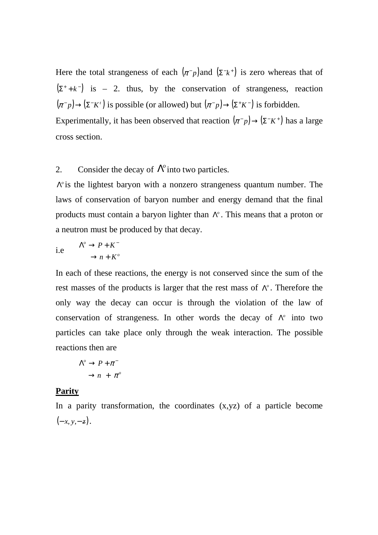Here the total strangeness of each  $(\pi^{-}p)$  and  $(\Sigma^{-}k^{+})$  is zero whereas that of  $(\Sigma^+ + k^-)$  is – 2. thus, by the conservation of strangeness, reaction  $(\pi^- p) \rightarrow (\Sigma^- K^t)$  is possible (or allowed) but  $(\pi^- p) \rightarrow (\Sigma^+ K^-)$  is forbidden. Experimentally, it has been observed that reaction  $(\pi^- p) \rightarrow (\Sigma^- K^+)$  has a large

cross section.

# 2. Consider the decay of  $\Lambda^{\circ}$  into two particles.

*Δ*<sup>o</sup> is the lightest baryon with a nonzero strangeness quantum number. The laws of conservation of baryon number and energy demand that the final products must contain a baryon lighter than *Λ<sup>°</sup>*. This means that a proton or a neutron must be produced by that decay.

i.e 
$$
\Lambda^{\circ} \to P + K^{-}
$$

$$
\to n + K^{\circ}
$$

In each of these reactions, the energy is not conserved since the sum of the rest masses of the products is larger that the rest mass of  $\Lambda^{\circ}$ . Therefore the only way the decay can occur is through the violation of the law of conservation of strangeness. In other words the decay of *N*<sup>o</sup> into two particles can take place only through the weak interaction. The possible reactions then are

$$
\Lambda^{\circ} \to P + \pi^{-}
$$

$$
\to n + \pi^{\circ}
$$

## **Parity**

In a parity transformation, the coordinates  $(x,yz)$  of a particle become  $(-x, y, -z)$ .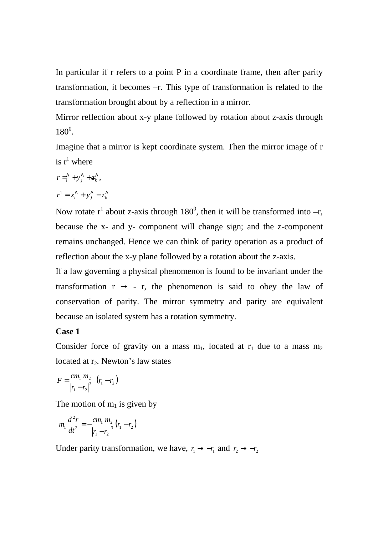In particular if r refers to a point P in a coordinate frame, then after parity transformation, it becomes –r. This type of transformation is related to the transformation brought about by a reflection in a mirror.

Mirror reflection about x-y plane followed by rotation about z-axis through  $180^0$ .

Imagine that a mirror is kept coordinate system. Then the mirror image of r is  $r^1$  where

$$
r = \sum_{i}^{\Lambda} + y_{j}^{\Lambda} + z_{k}^{\Lambda},
$$

$$
r^1 = x_i^{\Lambda} + y_j^{\Lambda} - z_k^{\Lambda}
$$

Now rotate  $r^1$  about z-axis through 180<sup>0</sup>, then it will be transformed into  $-r$ , because the x- and y- component will change sign; and the z-component remains unchanged. Hence we can think of parity operation as a product of reflection about the x-y plane followed by a rotation about the z-axis.

If a law governing a physical phenomenon is found to be invariant under the transformation  $r \rightarrow -r$ , the phenomenon is said to obey the law of conservation of parity. The mirror symmetry and parity are equivalent because an isolated system has a rotation symmetry.

## **Case 1**

Consider force of gravity on a mass  $m_1$ , located at  $r_1$  due to a mass  $m_2$ located at  $r<sub>2</sub>$ . Newton's law states

$$
F = \frac{cm_1 m_2}{|r_1 - r_2|^3} (r_1 - r_2)
$$

The motion of  $m_1$  is given by

$$
m_1 \frac{d^2 r}{dt^2} = -\frac{cm_1 m_2}{|r_1 - r_2|^3} (r_1 - r_2)
$$

Under parity transformation, we have,  $r_1 \rightarrow -r_1$  and  $r_2 \rightarrow -r_2$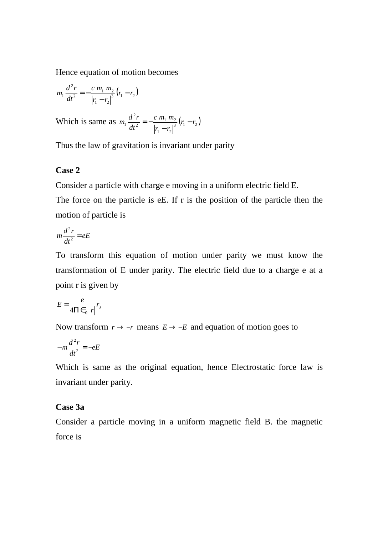Hence equation of motion becomes

$$
m_1 \frac{d^2 r}{dt^2} = -\frac{c m_1 m_2}{|r_1 - r_2|} (r_1 - r_2)
$$

Which is same as  $m_1 \frac{d r}{dt^2} = -\frac{c m_1 m_2}{\frac{3}{2} (r_1 - r_2)}$  $1 \t 2$  $1 \, \mu_2$ 2 2  $r_1 \frac{a r}{r^2} = -\frac{c m_1 m_2}{r^3} (r_1 - r_2)$  $r_1 - r$ *c m m dt*  $m_1 \frac{d^2r}{dr^2} = -\frac{c \, m_1 \, m_2}{r^3} (r_1 -$ − −=

Thus the law of gravitation is invariant under parity

## **Case 2**

Consider a particle with charge e moving in a uniform electric field E.

The force on the particle is eE. If r is the position of the particle then the motion of particle is

$$
m\frac{d^2r}{dt^2} = eE
$$

To transform this equation of motion under parity we must know the transformation of E under parity. The electric field due to a charge e at a point r is given by

$$
E = \frac{e}{4\Pi \epsilon_0 |r|} r_3
$$

Now transform  $r \rightarrow -r$  means  $E \rightarrow -E$  and equation of motion goes to

$$
-m\frac{d^2r}{dt^2} = -eE
$$

Which is same as the original equation, hence Electrostatic force law is invariant under parity.

### **Case 3a**

Consider a particle moving in a uniform magnetic field B. the magnetic force is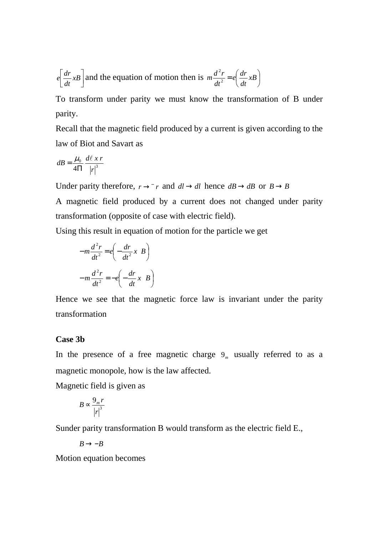$$
e\left[\frac{dr}{dt}xB\right]
$$
 and the equation of motion then is  $m\frac{d^2r}{dt^2} = e\left(\frac{dr}{dt}xB\right)$ 

To transform under parity we must know the transformation of B under parity.

Recall that the magnetic field produced by a current is given according to the law of Biot and Savart as

$$
dB = \frac{\mu_0}{4\Pi} \frac{d\ell \; x \; r}{\left|r\right|^3}
$$

Under parity therefore,  $r \rightarrow \bar{r}$  and  $dl \rightarrow dl$  hence  $dB \rightarrow dB$  or  $B \rightarrow B$ 

A magnetic field produced by a current does not changed under parity transformation (opposite of case with electric field).

Using this result in equation of motion for the particle we get

$$
-m\frac{d^{2}r}{dt^{2}} = e\left(-\frac{dr}{dt^{2}}x \cdot B\right)
$$

$$
-m\frac{d^{2}r}{dt^{2}} = -e\left(-\frac{dr}{dt}x \cdot B\right)
$$

Hence we see that the magnetic force law is invariant under the parity transformation

### **Case 3b**

In the presence of a free magnetic charge  $9<sub>m</sub>$  usually referred to as a magnetic monopole, how is the law affected.

Magnetic field is given as

$$
B \propto \frac{9_n r}{\left|r\right|^3}
$$

Sunder parity transformation B would transform as the electric field E.,

 $B \rightarrow -B$ 

Motion equation becomes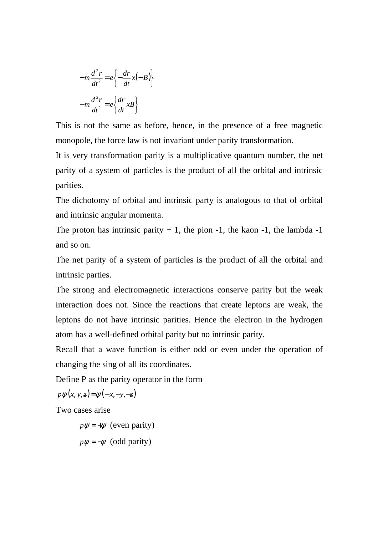$$
-m\frac{d^{2}r}{dt^{2}} = e\left\{-\frac{dr}{dt}x(-B)\right\}
$$

$$
-m\frac{d^{2}r}{dt^{2}} = e\left\{\frac{dr}{dt}xB\right\}
$$

This is not the same as before, hence, in the presence of a free magnetic monopole, the force law is not invariant under parity transformation.

It is very transformation parity is a multiplicative quantum number, the net parity of a system of particles is the product of all the orbital and intrinsic parities.

The dichotomy of orbital and intrinsic party is analogous to that of orbital and intrinsic angular momenta.

The proton has intrinsic parity  $+1$ , the pion  $-1$ , the kaon  $-1$ , the lambda  $-1$ and so on.

The net parity of a system of particles is the product of all the orbital and intrinsic parties.

The strong and electromagnetic interactions conserve parity but the weak interaction does not. Since the reactions that create leptons are weak, the leptons do not have intrinsic parities. Hence the electron in the hydrogen atom has a well-defined orbital parity but no intrinsic parity.

Recall that a wave function is either odd or even under the operation of changing the sing of all its coordinates.

Define P as the parity operator in the form

 $p \psi(x, y, z) = \psi(-x, -y, -z)$ 

Two cases arise

 $p\psi = +\psi$  (even parity)

 $p\psi = -\psi$  (odd parity)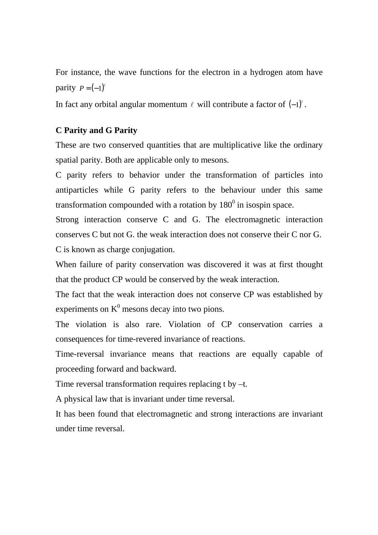For instance, the wave functions for the electron in a hydrogen atom have parity  $P = (-1)^{\ell}$ 

In fact any orbital angular momentum  $\ell$  will contribute a factor of  $(-1)^{\ell}$ .

## **C Parity and G Parity**

These are two conserved quantities that are multiplicative like the ordinary spatial parity. Both are applicable only to mesons.

C parity refers to behavior under the transformation of particles into antiparticles while G parity refers to the behaviour under this same transformation compounded with a rotation by  $180^0$  in isospin space.

Strong interaction conserve C and G. The electromagnetic interaction conserves C but not G. the weak interaction does not conserve their C nor G. C is known as charge conjugation.

When failure of parity conservation was discovered it was at first thought that the product CP would be conserved by the weak interaction.

The fact that the weak interaction does not conserve CP was established by experiments on  $K^0$  mesons decay into two pions.

The violation is also rare. Violation of CP conservation carries a consequences for time-revered invariance of reactions.

Time-reversal invariance means that reactions are equally capable of proceeding forward and backward.

Time reversal transformation requires replacing t by –t.

A physical law that is invariant under time reversal.

It has been found that electromagnetic and strong interactions are invariant under time reversal.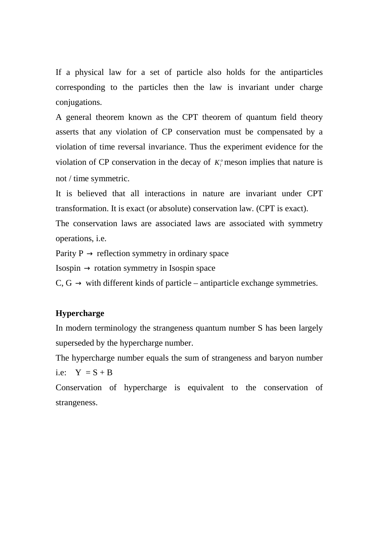If a physical law for a set of particle also holds for the antiparticles corresponding to the particles then the law is invariant under charge conjugations.

A general theorem known as the CPT theorem of quantum field theory asserts that any violation of CP conservation must be compensated by a violation of time reversal invariance. Thus the experiment evidence for the violation of CP conservation in the decay of  $K_l^{\circ}$  meson implies that nature is not / time symmetric.

It is believed that all interactions in nature are invariant under CPT transformation. It is exact (or absolute) conservation law. (CPT is exact).

The conservation laws are associated laws are associated with symmetry operations, i.e.

Parity  $P \rightarrow$  reflection symmetry in ordinary space

 $Isospin \rightarrow rotation$  symmetry in Isospin space

 $C, G \rightarrow$  with different kinds of particle – antiparticle exchange symmetries.

## **Hypercharge**

In modern terminology the strangeness quantum number S has been largely superseded by the hypercharge number.

The hypercharge number equals the sum of strangeness and baryon number i.e:  $Y = S + B$ 

Conservation of hypercharge is equivalent to the conservation of strangeness.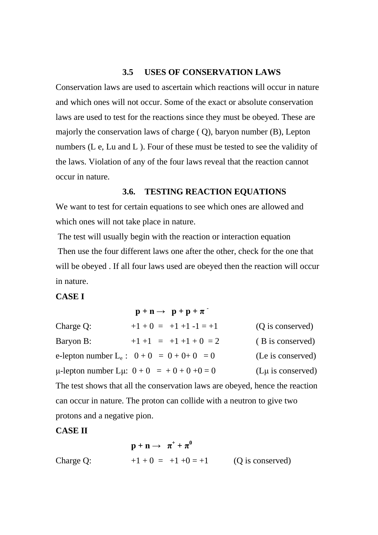#### **3.5 USES OF CONSERVATION LAWS**

Conservation laws are used to ascertain which reactions will occur in nature and which ones will not occur. Some of the exact or absolute conservation laws are used to test for the reactions since they must be obeyed. These are majorly the conservation laws of charge ( Q), baryon number (B), Lepton numbers (L e, Lu and L ). Four of these must be tested to see the validity of the laws. Violation of any of the four laws reveal that the reaction cannot occur in nature.

## **3.6. TESTING REACTION EQUATIONS**

We want to test for certain equations to see which ones are allowed and which ones will not take place in nature.

 The test will usually begin with the reaction or interaction equation Then use the four different laws one after the other, check for the one that will be obeyed . If all four laws used are obeyed then the reaction will occur in nature.

# **CASE I**

|                                                                              | $\mathbf{p} + \mathbf{n} \rightarrow \mathbf{p} + \mathbf{p} + \pi$ |                        |  |  |
|------------------------------------------------------------------------------|---------------------------------------------------------------------|------------------------|--|--|
| Charge Q:                                                                    | $+1$ + 0 = +1 +1 -1 = +1                                            | (Q is conserved)       |  |  |
| Baryon B:                                                                    | $+1$ +1 = +1 +1 + 0 = 2                                             | (B is conserved)       |  |  |
|                                                                              | e-lepton number $L_e$ : $0 + 0 = 0 + 0 + 0 = 0$                     | (Le is conserved)      |  |  |
|                                                                              | $\mu$ -lepton number L $\mu$ : $0 + 0 = +0 + 0 + 0 = 0$             | $(L\mu)$ is conserved) |  |  |
| The test shows that all the conservation laws are obeyed, hence the reaction |                                                                     |                        |  |  |
| can occur in nature. The proton can collide with a neutron to give two       |                                                                     |                        |  |  |

protons and a negative pion.

## **CASE II**

$$
\mathbf{p} + \mathbf{n} \rightarrow \pi^+ + \pi^0
$$
  
Change Q: +1+0 = +1+0 = +1 (Q is conserved)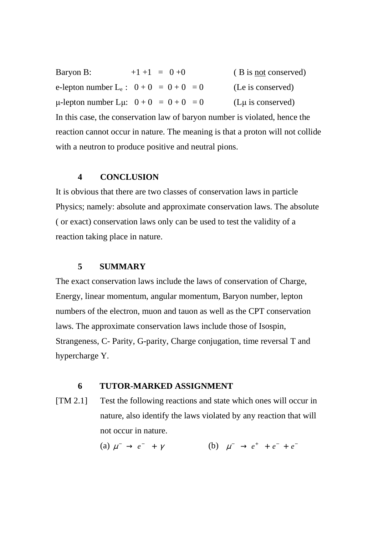Baryon B:  $+1+1 = 0+0$  (B is not conserved) e-lepton number  $L_e$ :  $0 + 0 = 0 + 0 = 0$  (Le is conserved)  $\mu$ -lepton number L $\mu$ :  $0 + 0 = 0 + 0 = 0$  (L $\mu$  is conserved) In this case, the conservation law of baryon number is violated, hence the reaction cannot occur in nature. The meaning is that a proton will not collide

## **4 CONCLUSION**

with a neutron to produce positive and neutral pions.

It is obvious that there are two classes of conservation laws in particle Physics; namely: absolute and approximate conservation laws. The absolute ( or exact) conservation laws only can be used to test the validity of a reaction taking place in nature.

# **5 SUMMARY**

The exact conservation laws include the laws of conservation of Charge, Energy, linear momentum, angular momentum, Baryon number, lepton numbers of the electron, muon and tauon as well as the CPT conservation laws. The approximate conservation laws include those of Isospin, Strangeness, C- Parity, G-parity, Charge conjugation, time reversal T and hypercharge Y.

## **6 TUTOR-MARKED ASSIGNMENT**

[TM 2.1] Test the following reactions and state which ones will occur in nature, also identify the laws violated by any reaction that will not occur in nature.

(a)  $\mu^- \to e^- + \gamma$  (b)  $\mu^- \to e^+ + e^- + e^-$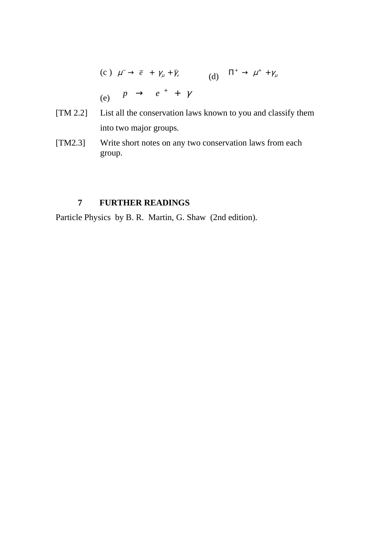(c) 
$$
\mu^- \to \overline{e} + \gamma_\mu + \overline{\gamma}_e
$$
  
\n(d)  $\Pi^+ \to \mu^+ + \gamma_\mu$   
\n(e)  $P \to e^+ + \gamma$ 

- [TM 2.2] List all the conservation laws known to you and classify them into two major groups.
- [TM2.3] Write short notes on any two conservation laws from each group.

# **7 FURTHER READINGS**

Particle Physics by B. R. Martin, G. Shaw (2nd edition).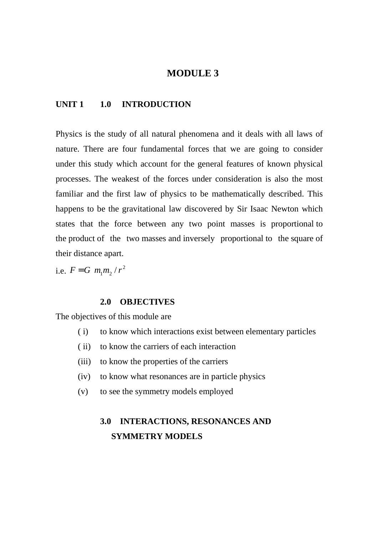# **MODULE 3**

## **UNIT 1 1.0 INTRODUCTION**

Physics is the study of all natural phenomena and it deals with all laws of nature. There are four fundamental forces that we are going to consider under this study which account for the general features of known physical processes. The weakest of the forces under consideration is also the most familiar and the first law of physics to be mathematically described. This happens to be the gravitational law discovered by Sir Isaac Newton which states that the force between any two point masses is proportional to the product of the two masses and inversely proportional to the square of their distance apart.

i.e.  $F = G \frac{m_1 m_2}{r^2}$ 

#### **2.0 OBJECTIVES**

The objectives of this module are

- ( i) to know which interactions exist between elementary particles
- ( ii) to know the carriers of each interaction
- (iii) to know the properties of the carriers
- (iv) to know what resonances are in particle physics
- (v) to see the symmetry models employed

# **3.0 INTERACTIONS, RESONANCES AND SYMMETRY MODELS**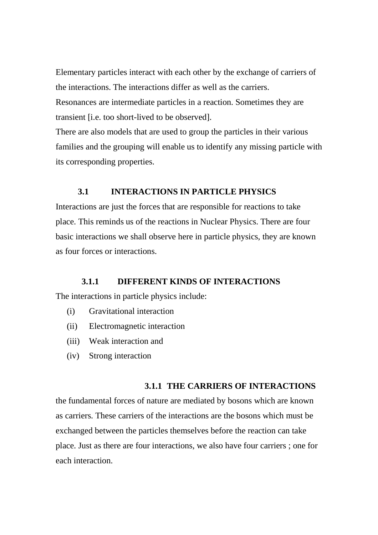Elementary particles interact with each other by the exchange of carriers of the interactions. The interactions differ as well as the carriers. Resonances are intermediate particles in a reaction. Sometimes they are transient [i.e. too short-lived to be observed].

There are also models that are used to group the particles in their various families and the grouping will enable us to identify any missing particle with its corresponding properties.

# **3.1 INTERACTIONS IN PARTICLE PHYSICS**

Interactions are just the forces that are responsible for reactions to take place. This reminds us of the reactions in Nuclear Physics. There are four basic interactions we shall observe here in particle physics, they are known as four forces or interactions.

#### **3.1.1 DIFFERENT KINDS OF INTERACTIONS**

The interactions in particle physics include:

- (i) Gravitational interaction
- (ii) Electromagnetic interaction
- (iii) Weak interaction and
- (iv) Strong interaction

#### **3.1.1 THE CARRIERS OF INTERACTIONS**

the fundamental forces of nature are mediated by bosons which are known as carriers. These carriers of the interactions are the bosons which must be exchanged between the particles themselves before the reaction can take place. Just as there are four interactions, we also have four carriers ; one for each interaction.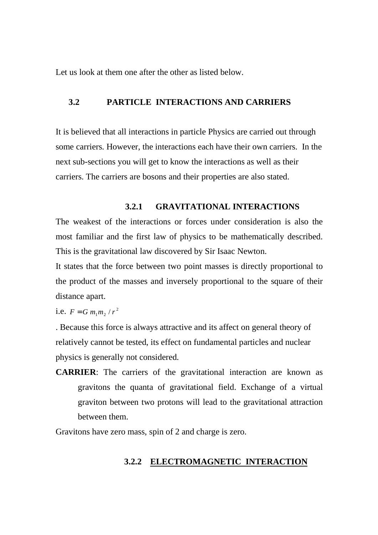Let us look at them one after the other as listed below.

# **3.2 PARTICLE INTERACTIONS AND CARRIERS**

It is believed that all interactions in particle Physics are carried out through some carriers. However, the interactions each have their own carriers. In the next sub-sections you will get to know the interactions as well as their carriers. The carriers are bosons and their properties are also stated.

## **3.2.1 GRAVITATIONAL INTERACTIONS**

The weakest of the interactions or forces under consideration is also the most familiar and the first law of physics to be mathematically described. This is the gravitational law discovered by Sir Isaac Newton.

It states that the force between two point masses is directly proportional to the product of the masses and inversely proportional to the square of their distance apart.

i.e.  $F = G m_1 m_2 / r^2$ 

. Because this force is always attractive and its affect on general theory of relatively cannot be tested, its effect on fundamental particles and nuclear physics is generally not considered.

**CARRIER**: The carriers of the gravitational interaction are known as gravitons the quanta of gravitational field. Exchange of a virtual graviton between two protons will lead to the gravitational attraction between them.

Gravitons have zero mass, spin of 2 and charge is zero.

#### **3.2.2 ELECTROMAGNETIC INTERACTION**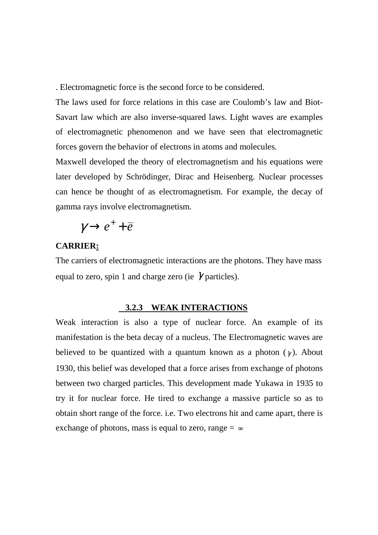. Electromagnetic force is the second force to be considered.

The laws used for force relations in this case are Coulomb's law and Biot-Savart law which are also inverse-squared laws. Light waves are examples of electromagnetic phenomenon and we have seen that electromagnetic forces govern the behavior of electrons in atoms and molecules.

Maxwell developed the theory of electromagnetism and his equations were later developed by Schrödinger, Dirac and Heisenberg. Nuclear processes can hence be thought of as electromagnetism. For example, the decay of gamma rays involve electromagnetism.

$$
\gamma \rightarrow e^+ + \overline{e}
$$

## **CARRIER:**

The carriers of electromagnetic interactions are the photons. They have mass equal to zero, spin 1 and charge zero (ie  $\gamma$  particles).

#### **3.2.3 WEAK INTERACTIONS**

Weak interaction is also a type of nuclear force. An example of its manifestation is the beta decay of a nucleus. The Electromagnetic waves are believed to be quantized with a quantum known as a photon  $(\gamma)$ . About 1930, this belief was developed that a force arises from exchange of photons between two charged particles. This development made Yukawa in 1935 to try it for nuclear force. He tired to exchange a massive particle so as to obtain short range of the force. i.e. Two electrons hit and came apart, there is exchange of photons, mass is equal to zero, range  $=\infty$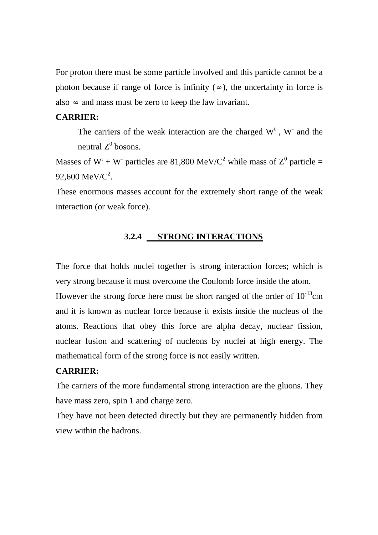For proton there must be some particle involved and this particle cannot be a photon because if range of force is infinity  $(\infty)$ , the uncertainty in force is also  $\infty$  and mass must be zero to keep the law invariant.

## **CARRIER:**

The carriers of the weak interaction are the charged  $W<sup>t</sup>$ ,  $W<sup>-</sup>$  and the neutral  $Z^0$  bosons.

Masses of  $W^t + W$  particles are 81,800 MeV/C<sup>2</sup> while mass of  $Z^0$  particle = 92,600 MeV/ $C^2$ .

These enormous masses account for the extremely short range of the weak interaction (or weak force).

# **3.2.4 STRONG INTERACTIONS**

The force that holds nuclei together is strong interaction forces; which is very strong because it must overcome the Coulomb force inside the atom. However the strong force here must be short ranged of the order of  $10^{-13}$ cm and it is known as nuclear force because it exists inside the nucleus of the atoms. Reactions that obey this force are alpha decay, nuclear fission, nuclear fusion and scattering of nucleons by nuclei at high energy. The mathematical form of the strong force is not easily written.

### **CARRIER:**

The carriers of the more fundamental strong interaction are the gluons. They have mass zero, spin 1 and charge zero.

They have not been detected directly but they are permanently hidden from view within the hadrons.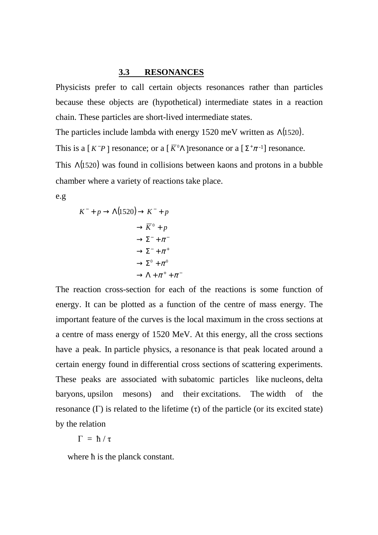#### **3.3 RESONANCES**

Physicists prefer to call certain objects resonances rather than particles because these objects are (hypothetical) intermediate states in a reaction chain. These particles are short-lived intermediate states.

The particles include lambda with energy 1520 meV written as Λ(1520).

This is a  $[K^-P]$  resonance; or a  $\left[\overline{K}^0\Lambda\right]$  resonance or a  $\left[\Sigma^+\pi^{-1}\right]$  resonance.

This Λ(1520) was found in collisions between kaons and protons in a bubble chamber where a variety of reactions take place.

e.g

$$
K^- + p \to \Lambda(1520) \to K^- + p
$$
  
\n
$$
\to \overline{K}^0 + p
$$
  
\n
$$
\to \Sigma^- + \pi^-
$$
  
\n
$$
\to \Sigma^- + \pi^+
$$
  
\n
$$
\to \Sigma^0 + \pi^0
$$
  
\n
$$
\to \Lambda + \pi^+ + \pi^-
$$

The reaction cross-section for each of the reactions is some function of energy. It can be plotted as a function of the centre of mass energy. The important feature of the curves is the local maximum in the cross sections at a centre of mass energy of 1520 MeV. At this energy, all the cross sections have a peak. In particle physics, a resonance is that peak located around a certain energy found in differential cross sections of scattering experiments. These peaks are associated with subatomic particles like nucleons, delta baryons, upsilon mesons) and their excitations. The width of the resonance (Γ) is related to the lifetime (τ) of the particle (or its excited state) by the relation

$$
\Gamma = \hbar / \tau
$$

where  $\hbar$  is the planck constant.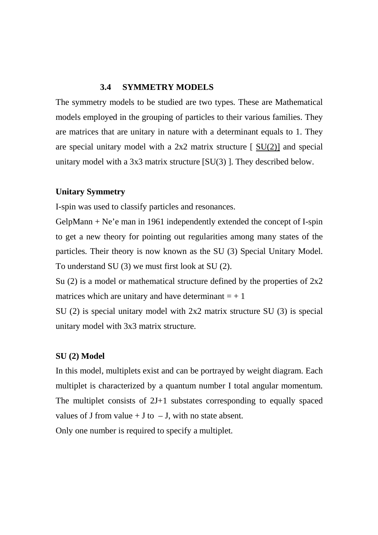## **3.4 SYMMETRY MODELS**

The symmetry models to be studied are two types. These are Mathematical models employed in the grouping of particles to their various families. They are matrices that are unitary in nature with a determinant equals to 1. They are special unitary model with a  $2x2$  matrix structure  $\left[ \frac{\text{SU}(2)}{2} \right]$  and special unitary model with a 3x3 matrix structure [SU(3) ]. They described below.

## **Unitary Symmetry**

I-spin was used to classify particles and resonances.

GelpMann + Ne'e man in 1961 independently extended the concept of I-spin to get a new theory for pointing out regularities among many states of the particles. Their theory is now known as the SU (3) Special Unitary Model. To understand SU (3) we must first look at SU (2).

Su (2) is a model or mathematical structure defined by the properties of  $2x2$ matrices which are unitary and have determinant  $= +1$ 

SU (2) is special unitary model with 2x2 matrix structure SU (3) is special unitary model with 3x3 matrix structure.

### **SU (2) Model**

In this model, multiplets exist and can be portrayed by weight diagram. Each multiplet is characterized by a quantum number I total angular momentum. The multiplet consists of 2J+1 substates corresponding to equally spaced values of J from value  $+$  J to  $-$  J, with no state absent.

Only one number is required to specify a multiplet.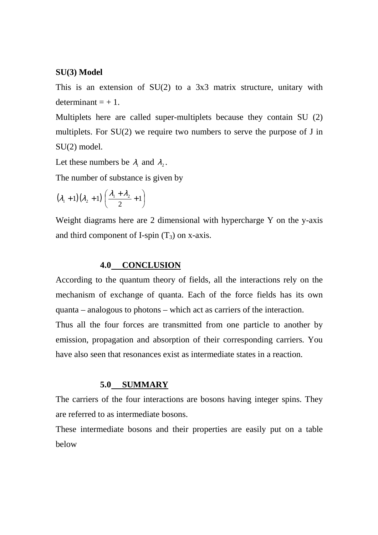#### **SU(3) Model**

This is an extension of SU(2) to a 3x3 matrix structure, unitary with determinant  $= +1$ .

Multiplets here are called super-multiplets because they contain SU (2) multiplets. For SU(2) we require two numbers to serve the purpose of J in SU(2) model.

Let these numbers be  $\lambda_1$  and  $\lambda_2$ .

The number of substance is given by

$$
(\lambda_1+1)(\lambda_2+1)\left(\frac{\lambda_1+\lambda_2}{2}+1\right)
$$

Weight diagrams here are 2 dimensional with hypercharge Y on the y-axis and third component of I-spin  $(T_3)$  on x-axis.

#### **4.0 CONCLUSION**

According to the quantum theory of fields, all the interactions rely on the mechanism of exchange of quanta. Each of the force fields has its own quanta – analogous to photons – which act as carriers of the interaction. Thus all the four forces are transmitted from one particle to another by emission, propagation and absorption of their corresponding carriers. You have also seen that resonances exist as intermediate states in a reaction.

#### **5.0 SUMMARY**

The carriers of the four interactions are bosons having integer spins. They are referred to as intermediate bosons.

These intermediate bosons and their properties are easily put on a table below